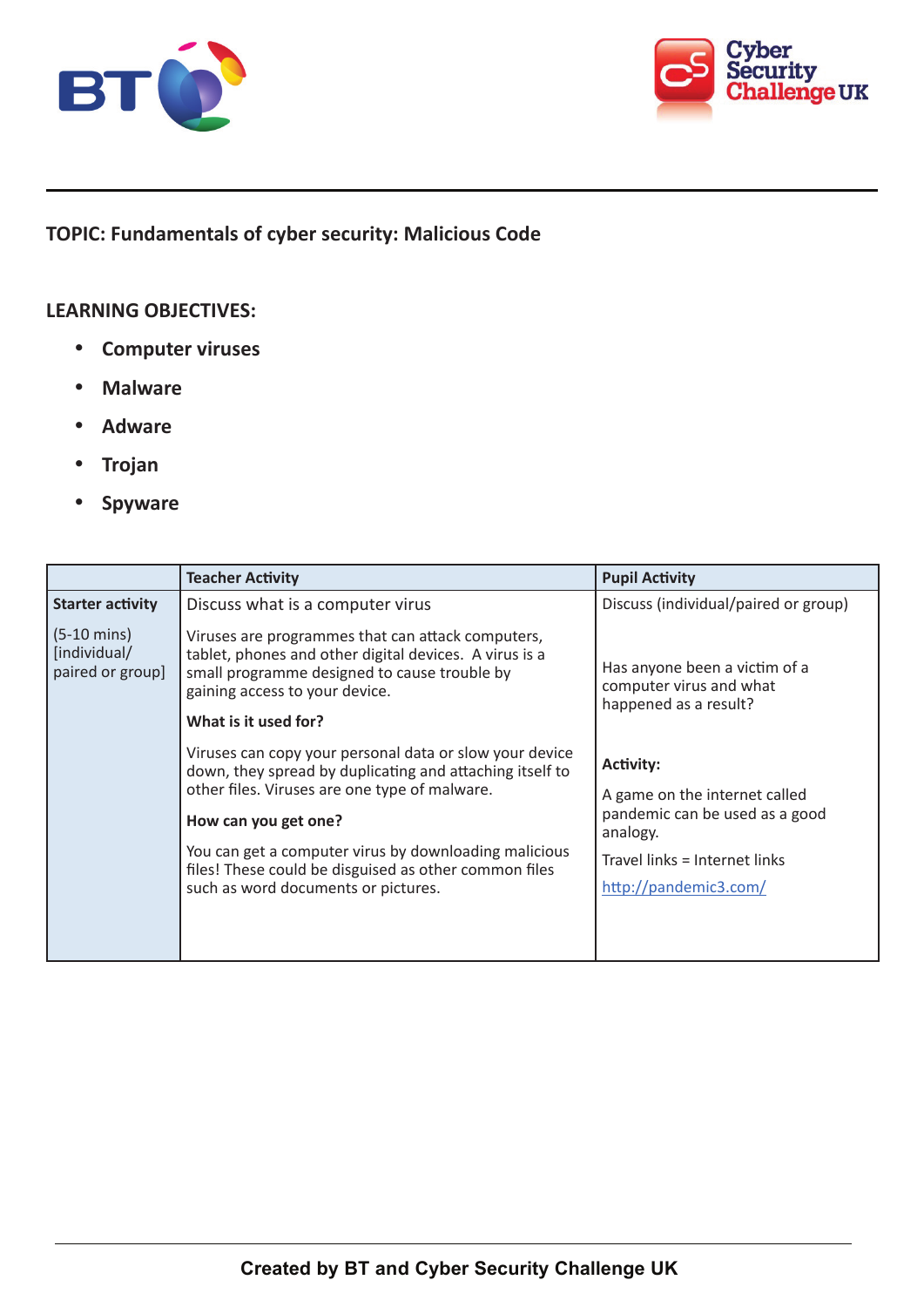



**TOPIC: Fundamentals of cyber security: Malicious Code** 

## **LEARNING OBJECTIVES:**

- • **Computer viruses**
- • **Malware**
- • **Adware**
- • **Trojan**
- • **Spyware**

|                                                           | <b>Teacher Activity</b>                                                                                                                                                                                               | <b>Pupil Activity</b>                                                             |
|-----------------------------------------------------------|-----------------------------------------------------------------------------------------------------------------------------------------------------------------------------------------------------------------------|-----------------------------------------------------------------------------------|
| <b>Starter activity</b>                                   | Discuss what is a computer virus                                                                                                                                                                                      | Discuss (individual/paired or group)                                              |
| $(5-10 \text{ mins})$<br>[individual/<br>paired or group] | Viruses are programmes that can attack computers,<br>tablet, phones and other digital devices. A virus is a<br>small programme designed to cause trouble by<br>gaining access to your device.<br>What is it used for? | Has anyone been a victim of a<br>computer virus and what<br>happened as a result? |
|                                                           |                                                                                                                                                                                                                       |                                                                                   |
|                                                           | Viruses can copy your personal data or slow your device<br>down, they spread by duplicating and attaching itself to<br>other files. Viruses are one type of malware.                                                  | <b>Activity:</b>                                                                  |
|                                                           |                                                                                                                                                                                                                       | A game on the internet called                                                     |
|                                                           | How can you get one?                                                                                                                                                                                                  | pandemic can be used as a good<br>analogy.                                        |
|                                                           | You can get a computer virus by downloading malicious<br>files! These could be disguised as other common files                                                                                                        | Travel links = Internet links                                                     |
|                                                           | such as word documents or pictures.                                                                                                                                                                                   | http://pandemic3.com/                                                             |
|                                                           |                                                                                                                                                                                                                       |                                                                                   |
|                                                           |                                                                                                                                                                                                                       |                                                                                   |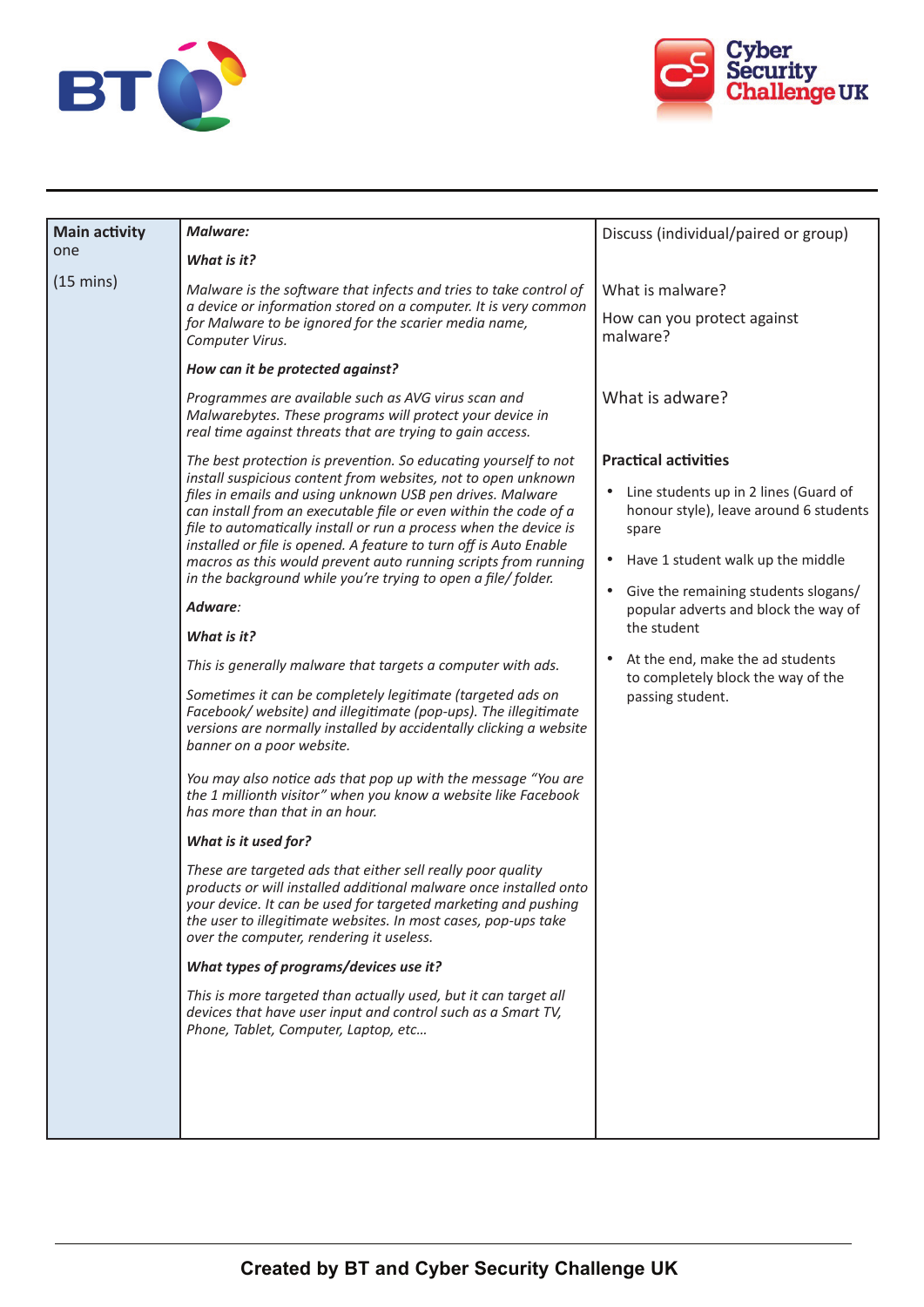



| <b>Main activity</b><br>one | Malware:                                                                                                                                                                                                                                                                                                         | Discuss (individual/paired or group)                                                          |
|-----------------------------|------------------------------------------------------------------------------------------------------------------------------------------------------------------------------------------------------------------------------------------------------------------------------------------------------------------|-----------------------------------------------------------------------------------------------|
|                             | What is it?                                                                                                                                                                                                                                                                                                      |                                                                                               |
| $(15 \text{ mins})$         | Malware is the software that infects and tries to take control of<br>a device or information stored on a computer. It is very common<br>for Malware to be ignored for the scarier media name,<br>Computer Virus.                                                                                                 | What is malware?                                                                              |
|                             |                                                                                                                                                                                                                                                                                                                  | How can you protect against<br>malware?                                                       |
|                             | How can it be protected against?                                                                                                                                                                                                                                                                                 |                                                                                               |
|                             | Programmes are available such as AVG virus scan and<br>Malwarebytes. These programs will protect your device in<br>real time against threats that are trying to gain access.                                                                                                                                     | What is adware?                                                                               |
|                             | The best protection is prevention. So educating yourself to not                                                                                                                                                                                                                                                  | <b>Practical activities</b>                                                                   |
|                             | install suspicious content from websites, not to open unknown<br>files in emails and using unknown USB pen drives. Malware<br>can install from an executable file or even within the code of a<br>file to automatically install or run a process when the device is                                              | Line students up in 2 lines (Guard of<br>٠<br>honour style), leave around 6 students<br>spare |
|                             | installed or file is opened. A feature to turn off is Auto Enable<br>macros as this would prevent auto running scripts from running                                                                                                                                                                              | Have 1 student walk up the middle<br>٠                                                        |
|                             | in the background while you're trying to open a file/folder.<br>Adware:                                                                                                                                                                                                                                          | Give the remaining students slogans/<br>$\bullet$<br>popular adverts and block the way of     |
|                             | What is it?                                                                                                                                                                                                                                                                                                      | the student                                                                                   |
|                             | This is generally malware that targets a computer with ads.                                                                                                                                                                                                                                                      | At the end, make the ad students<br>to completely block the way of the                        |
|                             | Sometimes it can be completely legitimate (targeted ads on<br>Facebook/ website) and illegitimate (pop-ups). The illegitimate<br>versions are normally installed by accidentally clicking a website<br>banner on a poor website.                                                                                 | passing student.                                                                              |
|                             | You may also notice ads that pop up with the message "You are<br>the 1 millionth visitor" when you know a website like Facebook<br>has more than that in an hour.                                                                                                                                                |                                                                                               |
|                             | What is it used for?                                                                                                                                                                                                                                                                                             |                                                                                               |
|                             | These are targeted ads that either sell really poor quality<br>products or will installed additional malware once installed onto<br>your device. It can be used for targeted marketing and pushing<br>the user to illegitimate websites. In most cases, pop-ups take<br>over the computer, rendering it useless. |                                                                                               |
|                             | What types of programs/devices use it?                                                                                                                                                                                                                                                                           |                                                                                               |
|                             | This is more targeted than actually used, but it can target all<br>devices that have user input and control such as a Smart TV,<br>Phone, Tablet, Computer, Laptop, etc                                                                                                                                          |                                                                                               |
|                             |                                                                                                                                                                                                                                                                                                                  |                                                                                               |
|                             |                                                                                                                                                                                                                                                                                                                  |                                                                                               |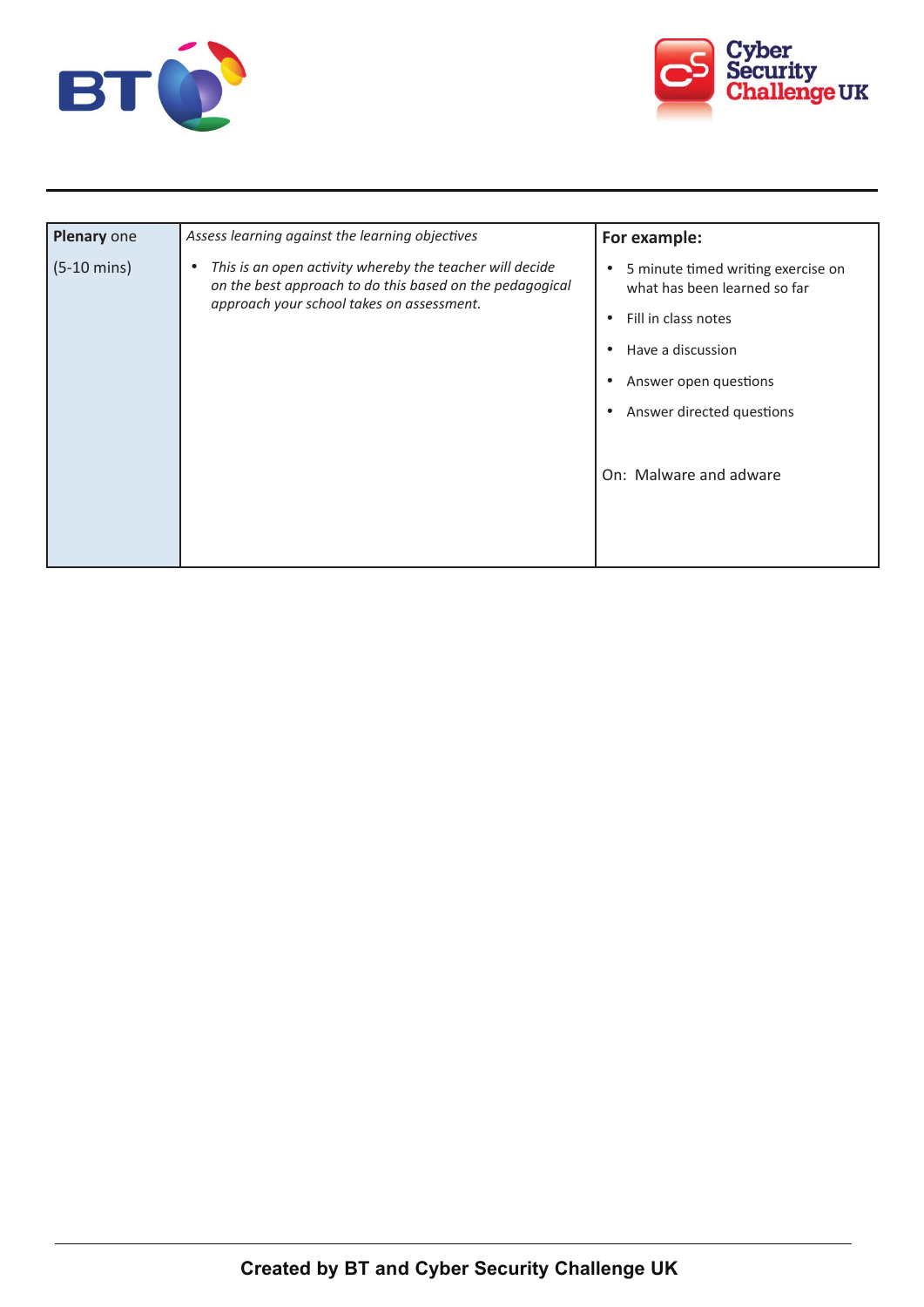



| Plenary one           | Assess learning against the learning objectives                                                                                                                        | For example:                                                                    |
|-----------------------|------------------------------------------------------------------------------------------------------------------------------------------------------------------------|---------------------------------------------------------------------------------|
| $(5-10 \text{ mins})$ | This is an open activity whereby the teacher will decide<br>٠<br>on the best approach to do this based on the pedagogical<br>approach your school takes on assessment. | 5 minute timed writing exercise on<br>$\bullet$<br>what has been learned so far |
|                       |                                                                                                                                                                        | Fill in class notes<br>$\bullet$                                                |
|                       |                                                                                                                                                                        | Have a discussion<br>$\bullet$                                                  |
|                       |                                                                                                                                                                        | Answer open questions<br>$\bullet$                                              |
|                       |                                                                                                                                                                        | Answer directed questions<br>$\bullet$                                          |
|                       |                                                                                                                                                                        |                                                                                 |
|                       |                                                                                                                                                                        | On: Malware and adware                                                          |
|                       |                                                                                                                                                                        |                                                                                 |
|                       |                                                                                                                                                                        |                                                                                 |
|                       |                                                                                                                                                                        |                                                                                 |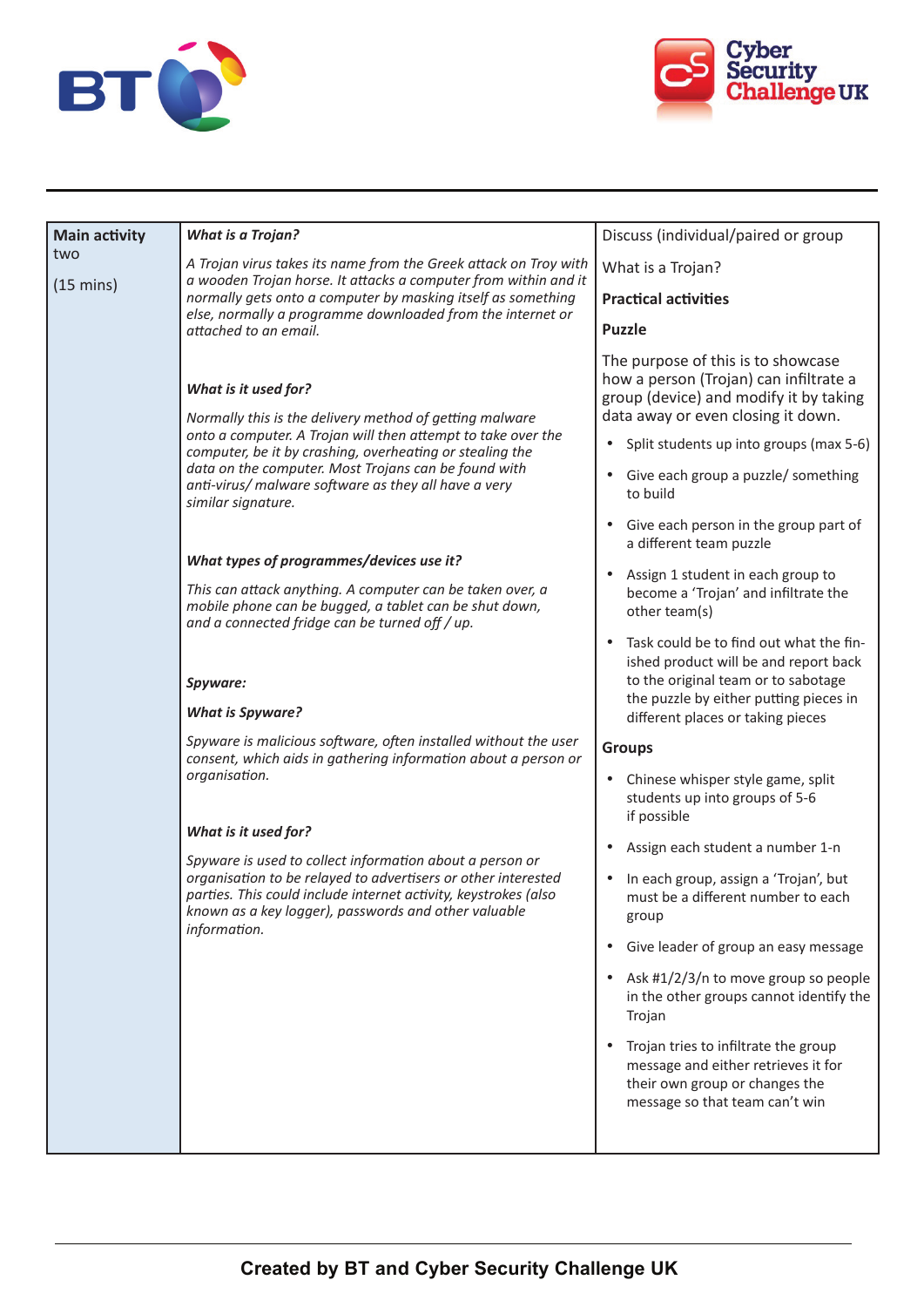



| <b>Main activity</b><br>two | <b>What is a Trojan?</b>                                                                                                                                                                                                                                                                                                                          | Discuss (individual/paired or group                                                                                                                                                                                 |
|-----------------------------|---------------------------------------------------------------------------------------------------------------------------------------------------------------------------------------------------------------------------------------------------------------------------------------------------------------------------------------------------|---------------------------------------------------------------------------------------------------------------------------------------------------------------------------------------------------------------------|
| $(15 \text{ mins})$         | A Trojan virus takes its name from the Greek attack on Troy with<br>a wooden Trojan horse. It attacks a computer from within and it                                                                                                                                                                                                               | What is a Trojan?                                                                                                                                                                                                   |
|                             | normally gets onto a computer by masking itself as something                                                                                                                                                                                                                                                                                      | <b>Practical activities</b>                                                                                                                                                                                         |
|                             | else, normally a programme downloaded from the internet or<br>attached to an email.                                                                                                                                                                                                                                                               | <b>Puzzle</b>                                                                                                                                                                                                       |
|                             | What is it used for?<br>Normally this is the delivery method of getting malware<br>onto a computer. A Trojan will then attempt to take over the<br>computer, be it by crashing, overheating or stealing the<br>data on the computer. Most Trojans can be found with<br>anti-virus/ malware software as they all have a very<br>similar signature. | The purpose of this is to showcase<br>how a person (Trojan) can infiltrate a<br>group (device) and modify it by taking<br>data away or even closing it down.                                                        |
|                             |                                                                                                                                                                                                                                                                                                                                                   | Split students up into groups (max 5-6)<br>٠                                                                                                                                                                        |
|                             |                                                                                                                                                                                                                                                                                                                                                   | Give each group a puzzle/ something<br>٠<br>to build                                                                                                                                                                |
|                             |                                                                                                                                                                                                                                                                                                                                                   | Give each person in the group part of<br>a different team puzzle                                                                                                                                                    |
|                             | What types of programmes/devices use it?<br>This can attack anything. A computer can be taken over, a<br>mobile phone can be bugged, a tablet can be shut down,<br>and a connected fridge can be turned off / up.                                                                                                                                 | Assign 1 student in each group to<br>$\bullet$<br>become a 'Trojan' and infiltrate the<br>other team(s)                                                                                                             |
|                             | Spyware:<br><b>What is Spyware?</b>                                                                                                                                                                                                                                                                                                               | Task could be to find out what the fin-<br>$\bullet$<br>ished product will be and report back<br>to the original team or to sabotage<br>the puzzle by either putting pieces in<br>different places or taking pieces |
|                             | Spyware is malicious software, often installed without the user                                                                                                                                                                                                                                                                                   | <b>Groups</b>                                                                                                                                                                                                       |
|                             | consent, which aids in gathering information about a person or<br>organisation.                                                                                                                                                                                                                                                                   | Chinese whisper style game, split<br>٠<br>students up into groups of 5-6<br>if possible                                                                                                                             |
|                             | What is it used for?<br>Spyware is used to collect information about a person or<br>organisation to be relayed to advertisers or other interested<br>parties. This could include internet activity, keystrokes (also<br>known as a key logger), passwords and other valuable<br>information.                                                      | Assign each student a number 1-n<br>٠                                                                                                                                                                               |
|                             |                                                                                                                                                                                                                                                                                                                                                   | In each group, assign a 'Trojan', but<br>٠<br>must be a different number to each<br>group                                                                                                                           |
|                             |                                                                                                                                                                                                                                                                                                                                                   | Give leader of group an easy message<br>$\bullet$                                                                                                                                                                   |
|                             |                                                                                                                                                                                                                                                                                                                                                   | Ask #1/2/3/n to move group so people<br>$\bullet$<br>in the other groups cannot identify the<br>Trojan                                                                                                              |
|                             |                                                                                                                                                                                                                                                                                                                                                   | Trojan tries to infiltrate the group<br>message and either retrieves it for<br>their own group or changes the<br>message so that team can't win                                                                     |
|                             |                                                                                                                                                                                                                                                                                                                                                   |                                                                                                                                                                                                                     |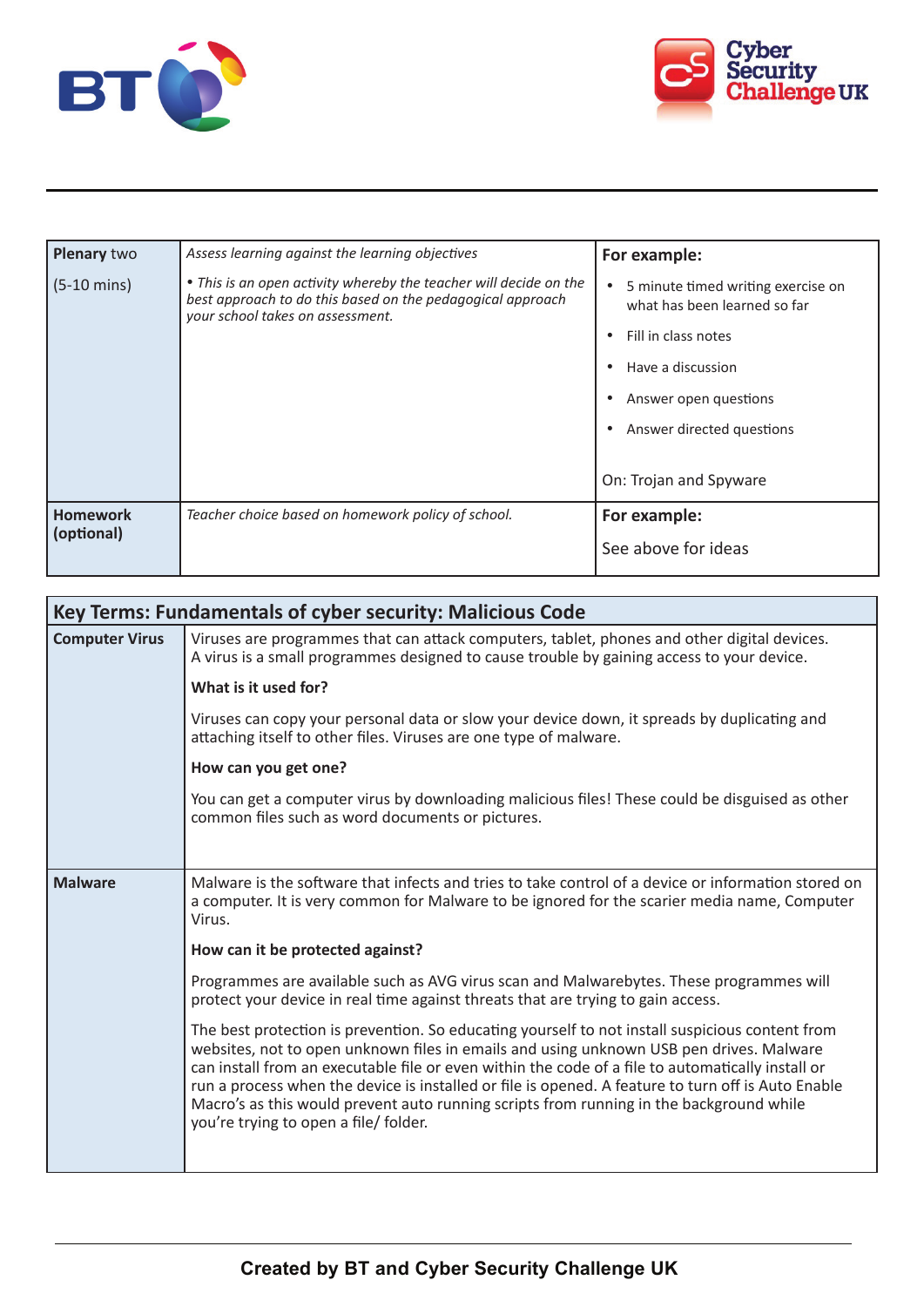



| Plenary two                   | Assess learning against the learning objectives                                                                                                                     | For example:                                                                                                                                                                                                |
|-------------------------------|---------------------------------------------------------------------------------------------------------------------------------------------------------------------|-------------------------------------------------------------------------------------------------------------------------------------------------------------------------------------------------------------|
| $(5-10 \text{ mins})$         | • This is an open activity whereby the teacher will decide on the<br>best approach to do this based on the pedagogical approach<br>your school takes on assessment. | 5 minute timed writing exercise on<br>$\bullet$<br>what has been learned so far<br>Fill in class notes<br>Have a discussion<br>Answer open questions<br>Answer directed questions<br>On: Trojan and Spyware |
|                               |                                                                                                                                                                     |                                                                                                                                                                                                             |
| <b>Homework</b><br>(optional) | Teacher choice based on homework policy of school.                                                                                                                  | For example:                                                                                                                                                                                                |
|                               |                                                                                                                                                                     | See above for ideas                                                                                                                                                                                         |

| Key Terms: Fundamentals of cyber security: Malicious Code |                                                                                                                                                                                                                                                                                                                                                                                                                                                                                                                                           |
|-----------------------------------------------------------|-------------------------------------------------------------------------------------------------------------------------------------------------------------------------------------------------------------------------------------------------------------------------------------------------------------------------------------------------------------------------------------------------------------------------------------------------------------------------------------------------------------------------------------------|
| <b>Computer Virus</b>                                     | Viruses are programmes that can attack computers, tablet, phones and other digital devices.<br>A virus is a small programmes designed to cause trouble by gaining access to your device.                                                                                                                                                                                                                                                                                                                                                  |
|                                                           | What is it used for?                                                                                                                                                                                                                                                                                                                                                                                                                                                                                                                      |
|                                                           | Viruses can copy your personal data or slow your device down, it spreads by duplicating and<br>attaching itself to other files. Viruses are one type of malware.                                                                                                                                                                                                                                                                                                                                                                          |
|                                                           | How can you get one?                                                                                                                                                                                                                                                                                                                                                                                                                                                                                                                      |
|                                                           | You can get a computer virus by downloading malicious files! These could be disguised as other<br>common files such as word documents or pictures.                                                                                                                                                                                                                                                                                                                                                                                        |
|                                                           |                                                                                                                                                                                                                                                                                                                                                                                                                                                                                                                                           |
| <b>Malware</b>                                            | Malware is the software that infects and tries to take control of a device or information stored on<br>a computer. It is very common for Malware to be ignored for the scarier media name, Computer<br>Virus.                                                                                                                                                                                                                                                                                                                             |
|                                                           | How can it be protected against?                                                                                                                                                                                                                                                                                                                                                                                                                                                                                                          |
|                                                           | Programmes are available such as AVG virus scan and Malwarebytes. These programmes will<br>protect your device in real time against threats that are trying to gain access.                                                                                                                                                                                                                                                                                                                                                               |
|                                                           | The best protection is prevention. So educating yourself to not install suspicious content from<br>websites, not to open unknown files in emails and using unknown USB pen drives. Malware<br>can install from an executable file or even within the code of a file to automatically install or<br>run a process when the device is installed or file is opened. A feature to turn off is Auto Enable<br>Macro's as this would prevent auto running scripts from running in the background while<br>you're trying to open a file/ folder. |
|                                                           |                                                                                                                                                                                                                                                                                                                                                                                                                                                                                                                                           |